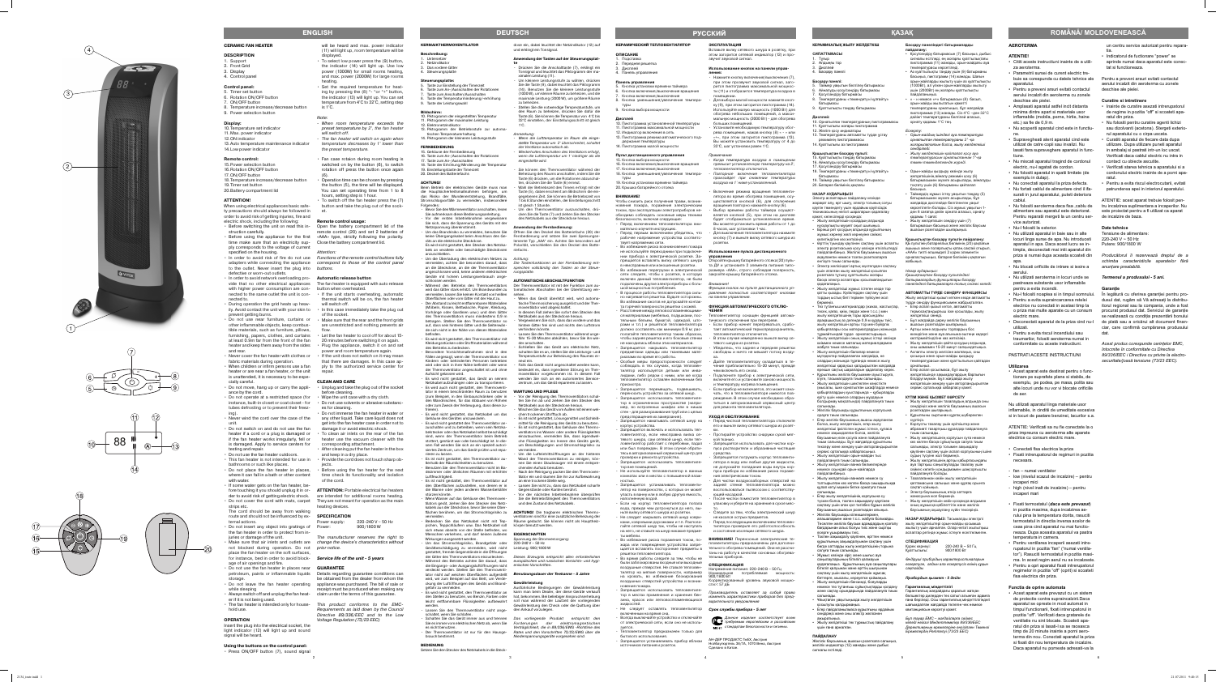## **AEROTERMA**

## **ATENTIE!**

- Cititi aceste instructiuni inainte de a utiliza aeroterma • Parametrii sursei de curent electric tre-
- buie sa corespunda cu datele tehnice ale aparatului.
- Pentru a preveni arsuri evitati contactul aerului incalzit din aeroterma cu zonele deschise ale pielei.
- Amplasati aparatul astfel incit distanta minima dintre apart si materiale usor inflamabile (mobila, perne, hirtie, haine etc.) sa fie de  $0.9$  m.
- Nu acoperiti aparatul cind este in functiune.
- Supravegheati atent aparatul cind este utilizat de catre copii sau invalizi. Nu lasati fara supraveghere aparatul in functiune.
- Nu miscati aparatul tragind de cordonul electric, nu-l agatati de cordon.
- Nu folositi aparatul in spatii limitate (de exemplu in dulap).
- Nu conectati aparatul la priza defecta. • Nu fortati cablul de alimentare cind il ifasurati in jurul aparatului, puteti deteriora cablul.
- Nu folositi aeroterma daca fisa ,cablu de alimentare sau aparatul este deteriorat. Pentru reparatii mergeti la un centru service autorizat.
- Nu-l folositi la exterior.
- Nu utilizati aparatul in baie sau in alte locuri linga surse de apa. Nu introduceti aparatul in apa. Daca acest lucru se intimpla, deconectati mai intii aparatul din priza si numai dupa aceasta scoateti din ana
- Nu blocati orificiile de intrare si iesire a aerului.
- Nu utilizati aeroterma in locuri unde se pastreaza substante usor inflamabile pentru a evita incendii.
- Nu-l folositi noaptea si in timpul somnului. • Pentru a evita supraincarcarea retelei electrice nu conectati in acelasi timp la o priza mai multe aparate cu un consum electric mare.
- Deconectati aparatul de la priza cind nu-l utilizati.
- Pentru a evita riscul incendiului sau traumarilor, folositi aeroterma numai in conformitate cu aceste instructiuni.

ATENTIE: Verificati sa nu fie conectate la o priza impreuna cu aeroterma alte aparate electrice cu consum electric mare.

- Conectati fisa electrica la priza
- Fixati intrerupatorul de regimuri in pozitia necesara.
- fan numai ventilator
- low (nivelul scazut de incalzire) pentru incaperi mici
- high (nivel inalt de incalzire) pentru incaperi mari
- Fixati termostatul (*daca este prevazut*) in pozitia maxima, dupa incalzirea aerului pina la temperatura dorita, rasuciti termostatul in directia inversa acelor de ceas pina cind aparatul nu mai functioneaza. Dupa aceasta aparatul va pastra temperatura in camera.
- Pentru ventilarea incaperii asezati intrerupatorul in pozitia "fan" ("numai ventilator"). Rasuciti termostatul in pozitia maxi-
- ma. In acest regim aerul nu se incalzeste. Pentru a opri aparatul fixati intrerupatorul regimelor in pozitia "off" (oprit) si scoateti fisa electrica din priza.

## PASTRATI ACESTE INSTRUCTIUNI

## **Utilizarea**

• Acest aparat este destinat pentru o functionare pe suprafete plane si stabile, de exemplu, pe podea, pe masa, polita sau alte locuri unde nu vor vi blocate orificiile de aer.

Nu utilizati aparatul linga materiale usor inflamabile, in cinditii de umeditate excesiva si in locuri de pastare benzinei, lacurilor s.a.

Таймер уақытын белгілеу батырмась 6. Айналуды қосу/сөндіру батырмасы 7. Қосу/сөндіру батырмасы

## **Functia de oprire automata**

• Acest aparat este prevazut cu un sistem de protectie contra supraincalzirii.Daca aparatul se opreste in mod automat in timpul functionarii, fixati intrerupatorul in pozitia "off". Verificati daca gratarele de ventilatie nu sint blocate. Scoateti aparatul din priza si lasati-l sa se raceasca timp de 20 minute inainte a porni aeroterma din nou. Conectati aparatul la priza si fixati din nou temperatura de incalzire. Daca aparatul nu porneste adresati-va la un centru service autorizat pentru reparatia.

- Indicatorul de fuctionare "power" se aprinde numai daca aparatul este conectat si functioneaza.
- Pentru a preveni arsuri evitati contactul aerului incalzit din aeroterma cu zonele deschise ale pielei.

## **Curatire si intretinere**

- Inainte de curatire asezati intrerupatorul de regime in pozitia "off" si scoateti aparatul din priza.
- Nu folositi pentru curatire agenti lichizi sau dizolvanti (acetona). Stergeti exteriorul aparatului cu o cirpa uscata.
- Curatiti aparatul de fiecare data dupa utilizare. Dupa utilizare puneti aparatul in ambalaj si pastrati intr-un loc uscat. Verificati daca cablul electric nu intra in contact cu obiecte ascutite.
- Verificati starea tehnica a aparatului si a cordonului electric inainte de a porni aparatul.
- Pentru a evita riscul electrocutarii, evitati patrunderea apei in interiorul aparatului.

салынады. Егер жылу жел

ATENTIE: acest aparat trebuie folosit pentru incalzirea suplimentara a incaperilor. Nu este proiectat pentru a fi utilizat ca aparat de incalzire de baza.

## **Date tehnice**

Tensiune de alimentare: 220-240 V ~ 50 Hz Putere: 900/1800 W

*Producătorul îi rezervează dreptul de a schimba caracteristicile aparatelor fără anunţare prealabilă.* 

## *Termenul a produsului - 5 ani.*

## **Garanţie**

În legătură cu oferirea garanţiei pentru produsul dat, rugăm să Vă adresaţi la distribuitorul regional sau la compania, unde a fost procurat produsul dat. Serviciul de garantie se realizează cu condiţia prezentării bonului de plată sau a oricărui alt document financiar, care confirmă cumpărarea produsului dat.

*Acest produs corespunde cerinţelor EMC, întocmite în conformitate cu Directiva 89/336/EEC i Directiva cu privire la electrosecuritate/joasă tensiune (73/23 EEC).*

# **ROMÂNĂ/ MOLDOVENEASCĂ**

## **КЕРАМИКАЛЫҚ ЖЫЛУ ЖЕЛДЕТКІШ**

**СИПАТТАМАСЫ** 1. Тұғыр 2. Алдыңғы тор 3. Дисплей 4. Басқару панелі **Басқару панелі:**

8. Температураны «төмендету»/«ұлғайту»

..<br>10. Орнатылған температураның пиктограммасы 11. Қуаттылығы жоғары пиктограмма 2. Желіге қосу индикаторы

батырмасы

9. Қуаттылықты таңдау батырмасы

**Дисплей:**

13. Температураны автоматты түрде ұстау режимінің пиктограммасы 14. Қуаттылығы аз пиктограмма **Қашықтықтан басқару пульті:** 15. Қуаттылықты таңдау батырмасы 16. Айналуды қосу/сөндіру батырмасы

17. Қосу/сөндіру батырмасы

18. Температураны «төмендету»/«ұлғайту»

батырмасы

19. Таймер уақытын белгілеу батырмасы

20. Батарея бөлімінің қақпағы **НАЗАР АУДАРЫҢЫЗ!**

Электр аспаптарын пайдалану кезінде жарақат алу, өрт шығу, электр тогының соғуы қаупін төмендету үшін əрдайым қауіпсіздік техникасының негізгі шараларын қадағалау

қажет, келесілерді қосқанда:

Жылу желдеткішінің артқы қабырғасындағ ауа тартқыш саңылауларды тазалау үшін сəйкес келетін қондырмамен шаңсорғышты

• Жылу желдеткішін қосардың алдында нұсқаулықты мұқият оқып шығыңыз. • Бірінші рет қосудың алдында құрылғының жұмыс кернеуі желі кернеуіне сəйкес келетіндігіне көз жеткізіңіз.

> • Электр баусымының өткір заттарға энасуына жол берм

• Өрттің туындау қаупінен сақтану үшін аспапты электр розеткасына қосу кезінде өткізгіштерді пайдаланбаңыз. Желілік баусымның ашасын ақауланған немесе тозған розеткаларға

енгізуге тиым салынады.

• Электр желісіндегі артық жүктелуден сақтану үшін аталған жылу желдеткіші қосылған розеткаға тұтыну қуаттылығы жоғары басқа электр аспаптары қосылмағандығын

қадағалаңыз.

• Жылу желдеткіші жұмыс істеген кезде тор қатты қызады. Күйіктерден сақтану үшін тордың ыстық беті терімен түйісуіне жол

бермеңіз.

10. Пиктограмма установленной температуры 11. Пиктограмма максимальной мощности 12. Индикатор включения в сеть 13. Пиктограмма режима автоматического по

> • Тез тұтанғыш материалдар (жихаз, жастықтар, төсек, қағаз, киім, перде жəне т.с.с.) мен жылу желдеткішінің торы арасындағы арақашықтық аз дегенде 0,9 м құрауы тиіс, жылу желдеткішін артқы тор мен бүйірлік қабырғалары осы материалдардың жанында тұрмайтындай түрде орналастырыңыз. • Жылу желдеткішін оның жұмыс істеуі кезінде киіммен немесе маталық материалдармен

16. Кнопка включения/выключения вращени . Кнопка включения/выключения 18. Кнопка уменьшения/увеличения темпера-

> жабуға тиым салынады. • Жылу желдеткішін балалар немесе мүгедектер пайдаланған жағдайда, не олардың жанында тұрғанда немесе жылу желдеткіші қараусыз қалдырылған жағдайда ерекше сақтық шараларын қадағалау керек. • Құрылғыны желілік баусыммен ауыстыруға, ілуге, тасымалдауға тиым салынады. • Жылу желдеткішін шектелген кеңістікте (мысалы, ішке орнатылған шкафтарда немес қабырғалардың қуыстарында – құбырларды еріту үшін немесе олардың мұздауын болдырмау мақсатында) пайдалануға тиым

салынады.

• Желілік баусымды құрылғының корпусына

орауға тиым салынады.

• Егер желілік баусымның ашасы ақауланған болса, жылу желдеткішін, егер жылу желдеткіші іркіліспен жұмыс істесе, құласа немесе зақымдалған болса, желілік баусымның өзін қосуға жəне пайдалануға тиым салынады. Бұл жағдайда құрылғыны тексеру жəне жөндеу үшін авторландырылған

Запрешается перемещать, подвешивать переносить устройство за сетевой шнур. • Запрещается использовать тепловентилятор в ограниченном пространстве (напри-

> сервис орталыққа хабарласыңыз. • Жылу желдеткішін орын-жайдан тыс пайдалануға тиым салынады. • Жылу желдеткішін ванна бөлмелерінде немесе осындай орын-жайларда

пайдаланбаңыз.

• Жылу желдеткішін ваннаға немесе су толтырылған кез келген басқа сиымдылыққа құлап кетуі мүмкін бетке орнатуға тиым

түскен болса, токпен зақымдалу қаупінен сақтану үшін оған қол тигізбес бұрын желілік баусымның ашасын розеткадан алыңыз. • Желілік баусымды кілемшелермен, алашалармен жəне т.с.с. жабуға болмайды. Төселген желілік баусым адамдардың қозғалу бағдарынан алыс болуы тиіс жəне сыртқы

əсерге ұшырамауы тиіс.

• Токпен зақымдалу қаупінен, өрттен немесе құрылғының зақымдалуынан сақтану үшін бөгде заттарды жылу желдеткішінің торына

салуға тиым салынады. • Жұмыс кезінде кіріс жəне шығыс ауа саңылауларының бітеліп қалмауын қадағалаңыз. Құрылғының ауа саңылаулары бітеліп қалуынан жəне өрттің шығуынан сақтану үшін жылу желдеткішін жұмсақ беттерге, мысалы, кереуетке қоймаңыз. • Жылу желдеткішін бензинді, бояуларды немесе тез тұтанғыш сұйықтықтарды қолдану жəне сақтау орындарында пайдалануға тиым

салынады.

• Ұйықтаған уақытыңызда жылу желдеткішін

қосылулы қалдырмаңыз.

• Егер пайдаланылмаса құрылғыны əрдайым сөндіріңіз жəне оны электр желісінен

ажыратыңыз.

• Жылу желдеткіші тек тұрмыстық пайдалану

үшін ғана арналған.

**ПАЙДАЛАНУ**

Желілік баусымның ашасын розеткаға салыңыз, желілік индикатор (12) жанады жəне дыбыс

сигналы естіледі.

**Басқару панеліндегі батырмаларды** 

**пайдалану:**

• Қосу/сөндіру батырмасын (7) басыңыз, дыбыс сигналы естіледі, ең жоғарғы қуаттылықтағы пиктограмма (11) жанады, орын-жайдағы ауа

температурасы көрсетіледі.

• Аз қуаттылықты таңдау үшін (9) батырманы басыңыз, пиктограмм (14) жанады. Шағын орын-жайларды жылыту үшін аз қуаттылықты (1000Вт), ал үлкен орын-жайларды жылыту үшін (2000Вт) ең жоғарғы қуаттылықты

пайдаланыңыз.

• « - » немесе «+» батырмасын (8) басып, орын-жайды жылытатын қажетті температураны орнатыңыз, бұл жағдайда пиктограмма (13) жанады. Сіз 4°С –ден 32°С дейінгі температураны белгілей аласыз,

орнату қадамы 1°С тең.

*Ескерту:*

*- Орын-жайдың ішіндегі ауа температура орнатылған температураны 2° -қа жоғарылататын болса, жылу желдеткіші* 

*сөндіріледі.*

*- Жылу желдеткішін қайталап қосу ауа температурасын орнатылғаннан 1°-қа төмен төмендеткенде жүреді.* • Орын-жайды қыздыру кезінде жылу желдеткішінің айналу режимін қосу (6) .<br>батырмасымен жүзеге асырылады, айналудь тоқтату үшін (6) батырманы қайталап

басыңыз.

• Таймердің жұмыс істеу уақытын таңдау (5) батырмасымен жүзеге асырылады, бұл жағдайда дисплейде белгіленген уақыт көрсетілетін болады. Сіз жұмыс уақытын 1 ден 8 сағатқа дейін орната аласыз, орнату

қадамы 1 сағат.

• Жылу желдеткішін сөндіру үшін (7) батырмасын басыңыз жəне желілік баусым ашасын розеткадан шығарыңыз. **Қашықтықтан басқару пультін пайдалану:** ҚБ пультінің батареялық бөлімінің (20) қақпағын ашыңыз жəне полярлықты қатаң сақтай отырып, «ААА» типті өлшемдегі 2 қорек элементін орналастырыңыз, батарея бөлімінің қақпағын

жабыңыз. *Назар аударыңыз:*

10. Piktogramm der eingestellten Temperatur 1. Piktogramm der maximalen Leistung

> *Қашықтықтан басқару пультіндегі батырмалардың функциялары басқару панеліндегі батырмаларға толық сəйкес келеді.* **АВТОМАТТЫ ТҮРДЕ СӨНДІРУ ФУНКЦИЯСЫ**  Жылу желдеткіші қызып кеткен кезде автоматты түрде сөндіру функциясымен жабдықталған. • Егер аспап қызып кетсе, автоматты термосақтандырғыш іске қосылады, жылу

желдеткіші сөнеді.

• Бұл жағдайда дереу желілік баусымның ашасын розеткадан шығарыңыз. • Артқы жəне алдыңғы торлардың бос екендігіне жəне ауа ағынына ештеңе кедергі

- Um das Brandrisiko zu vermeiden, benutzen Sie keine Übergangskabel beim Anschluss des Ge-Fernbedienung und setzen Sie zwei Speisungse- Es wird nicht gestattet, den Stecker des Netzkabels an veraltete oder beschädigte Steckdosen riefachs. Öffnen Sie den Deckel des Batteriefachs (20) der lemente Typ "AAA" ein. Achten Sie besonders auf Polarität, verschließen Sie den Deckel des Batte-
- Um die Überladung des elektrischen Netzes zu Achtung: vermeiden, achten Sie besonders darauf, dass Die Tastenfunktionen an der Fernbedienung entan die Steckdose, an die der Thermoventilator *sprechen vollständig den Tasten an der Steue-*

келтірмейтіндігіне көз жеткізіңіз. • Жылу желдеткішін қайта қосудың алдында, оны шамамен 15-20 минут салқындатыңыз. • Аспапты электр желісіне жалғаңыз, оны қосыңыз жəне орын-жайды қыздыру температурасын жəне қуаттылығын қайтадан

angeschlossen wird, keine anderen elektrischen rungsplatte. Geräte mit hohem Leistungsverbrauch angeschlossen werden. • Während des Betriebs des Thermoventilators

wird das Gitter stark erhitzt. Um Brandwunden zu tomatischen Abschalten bei der Überhitzung ver-Der Thermoventilator ist mit der Funktion zum au-

орнатыңыз.

• Егер аспап қосылмаса, бұл жылу желдеткішінде зақымдаулардың барлығын білдіруі мүмкін. Бұл жағдайда жылу желдеткішін жөндеу үшін авторландырылған сервис орталыққа хабарласу қажет.

**КҮТІМ ЖƏНЕ ҚЫЗМЕТ КӨРСЕТУ**

• Жылу желдеткішін тазалаудың алдында оны сөндіріңіз жəне желілік баусымның ашасын

розеткадан шығарыңыз.

• Құрылғыны сыртынан құрғақ шүберекпен

сүртіңіз.

• Корпусты тазалау үшін еріткіштер жəне абразивті тазартқыш құралдар пайдалануға

тиым салынады.

• Жылу желдеткішінің корпусын суға немесе кез келген басқа сұйықтыққа салуға тиым салынады, электр тогымен зақымдалу қаупінен сақтану үшін аспап корпусының ішіне

судың түсуіне жол бермеңіз.

пайдалануға болады.

• Тазалағаннан кейін жылу желдеткішін қаптамасына салыңыз жəне құрғақ орынға

сақтап қойыңыз.

• Жылу желдеткішін кейін қосқанда алдымен оның жұмысқа қабілеттігін жəне желілік баусымның оқшаулану күйін тексеріңіз. **НАЗАР АУДАРЫҢЫЗ:** Тасымалды электрлі жылу желдеткіштері орын-жайды қосымша жылыту үшін арналған. Олар негізгі жылытқыш аспаптар ретінде жұмыс істеуге есептелмеген.

**СПЕЦИФИКАЦИЯ**

Қорек кернеуі: 220-240 В ~ 50 Гц Қуаттылығы: 900/1800 Вт

*Өндiрушi прибордың характеристикаларын өзгертуге, алдын ала ескертусiз өзiнiң құқын* 

*сақтайды* 

*Прибордын қызмет - 5 дейiн* **Гарантиялық мiндеттiлiгi**

Гарантиялық жағдайдағы қаралып жатқан бөлшектер дилерден тек сатып алынған адамға ғана берiледi. Осы гарантиялық мiндеттiлiгiндегi шағымдалған жағдайда төлеген чек немесе

квитанциясын көрсетуi қажет.

*Бұл тауар ЕМС – жағдайларға сəйкес келедi негiзгi Мiндеттемелер 89/336/EEC Дерективаның ережелерiне енгiзiлген Төменгi Ережелердiң Реттелуi (73/23 EEC)*

# **ҚАЗАҚ**

5

**КЕРАМИЧЕСКИЙ ТЕПЛОВЕНТИЛЯТОР**

**ОПИСАНИЕ** 1. Подставка 2. Передняя решетка 3. Дисплей 4. Панель управлени **Панель управления**

5. Кнопка установки времени таймера 6. Кнопка включения/выключения вращения 7. Кнопка включения/выключения 8. Кнопка уменьшения/увеличения темпера-

туры

9. Кнопка выбора мощности

**Дисплей**

держания температуры 14. Пиктограмма малой мощности **Пульт дистанционного управления** 15. Кнопка выбора мощности

туры

19. Кнопка установки времени таймера 20. Крышка батарейного отсека

**ВНИМАНИЕ!**

Чтобы снизить риск получения травм, возникновения пожара, поражения электрическим током, при эксплуатации электроприборов необходимо соблюдать основные меры техники безопасности, включая следующие:

• Перед включением тепловентилятора вни-

мательно изучите инструкцию.

• Перед первым включением убедитесь, что рабочее напряжение устройства соответс-

твует напряжению сети.

• Во избежание риска возникновения пожара не используйте переходники при подключе-

- Vor der Reinigung des Thermoventilators schalten Sie ihn ab und ziehen Sie den Stecker des Netzkabels aus der Steckdose heraus. • Wischen Sie das Gerät vom Außen mit einem wei-
- chen trockenen Stofftuch ab. • Es ist nicht gestattet, Lösungsmittel und Schleiß-
- mittel für die Reinigung des Geräts zu benutzen. Es ist nicht gestattet, das Gehäuse des Thermoventilators ins Wasser oder andere Flüssigkeiten einzutauchen, vermeiden Sie, dass irgendwelche Flüssigkeiten ins Innere des Geräts gerät, um Beschädigungen und Stromschlagrisiko zu
- vermeiden. Um die Lufteintrittsöffnungen an der hinteren Wand der Thermoventilators zu reinigen, können Sie einen Staubsauger mit einem entsprechenden Aufsatz benutzen.
- Nach der Reinigung packen Sie den Thermoventilator ein und räumen Sie ihn zur Aufbewahrung an eine trockene Stelle weg. • Lassen Sie nicht zu, dass das Netzkabel scharfe
- Gegenstände oder Kanten berührt. • Vor der nächsten Inbetriebnahme überprüfen Sie die Betriebsfähigkeit des The
- 

прещается вставлять вилку сетевого шнура в неисправные или изношенные розетки. • Во избежание перегрузки в электрической сети следите, чтобы к розетке, в которую включен данный тепловентилятор, не были подключены другие электроприборы с боль-

шой мощностью потребления.

• В процессе работы тепловентилятора сильно нагревается решетка. Будьте осторожны. Во избежание ожогов не допускайте контакта горячей поверхности решетки с кожей. Расстояние между легковоспламеняющими ся материалами (мебелью, подушками, пос-

#### • Während des Betriebs achten Sie darauf, dass europäischen und russischen Vorsichts- und hygidie Eingangs- oder Ausgangsluftöffnungen nicht enischen Vorschriften. Dieses Erzeugnis entspricht allen erforderlichen

## lator nicht auf weichen Oberflächen aufgestellt **Benutzungsdauer der Teekanne - 5 Jahre**

рами и т.п.) и решеткой тепловентилятора должно составлять как минимум 0.9 м; располагайте тепловентилятор таким образом, чтобы задняя решетка и его боковые стенки не находились вблизи этих материалов. • Запрещается накрывать тепловентилятор предметами одежды или тканевыми мате-

риалами во время его работы.

### • Schalten Sie das Gerät immer aus und trennen Das vorliegende Produkt entspricht den Sie es immer vom elektrischen Netz ab, wenn Sie Forderungen der elektromagnetischen • Der Thermoventilator ist nur für den Hausge- Rates und den Vorschriften 73/23/EWG über die Verträglichkeit, die in 89/336/EWG -Richtlinie des

• Особые меры предосторожности следует соблюдать в тех случаях, когда тепловентилятор используется детьми или инвалидами, либо рядом с ними, или же когда тепловентилятор оставлен включенным без

присмотра.

- 10. Temperature set indicator
- 11. Max. power indicator 12. ON indicator
- 13. Auto temperature maintenance indicator 14. Low power indicator

мер, во встроенных шкафах или в нишах стен - для размораживания труб или с целью

предотвращения их замерзания). • Запрещается наматывать сетевой шнур на корпус устройства.

- Запрещается включать и использовать тепловентилятор, если неисправна вилка сетевого шнура, сам сетевой шнур, если тепловентилятор работает с перебоями, падал или был поврежден. В этом случае обратитесь в авторизованный сервисный центр для проверки и ремонта устройства.
- Запрещается использовать тепловентил тор вне помещений.
- Не используйте тепловентилятор в ванных комнатах или в местах с повышенной влажностью.
- Запрещается устанавливать тепловентилятор на поверхностях, с которых он может упасть в ванну или в любую другую емкость,
- наполненную водой. • Если на корпус тепловентилятора попала вода, прежде чем дотронуться до него, вы-
- ньте вилку сетевого шнура из розетки. • Не следует накрывать сетевой шнур ковриками, ковровыми дорожками и т.п. Распола-• Перед последующим включением тепловенгайте сетевой шнур так, чтобы не наступать на него, не ставьте на шнур никакие предме-
- ты мебели. • Во избежание риска поражения током, пожара или повреждения устройства запрещается вставлять посторонние предметы в
- решетки тепловентилятора. • Во время работы следите за тем, чтобы не тельных приборов. были заблокированы входные или выходные **СПЕЦИФИКАЦИЯ**
- воздушные отверстия. Не ставьте тепловен-Напряжение питания: 220-240 В ~ 50 Гц тилятор на мягкие поверхности, например Номинальная потребляемая мощность: на кровать, во избежание блокирования 900/1800 Вт новения пожара.
- Запрещается использовать тепловентиля-Производитель оставляет за собой право тор в местах применения и хранения бен-изменять характеристики приборов без предзина, красок или легковоспламеняющихся Варительного уведомления жидкостей.
- Не следует оставлять тепловентилятор *Срок службы прибора 5 лет* включенным на время сна. • Всегда выключайте устройство и отключайте
- от электрической сети, если оно не используется.
- Тепловентилятор предназначен только для бытового использования. • Запрещается устанавливать прибор вблизи
- источников питания и розеток.

нии прибора к электрической розетке. За-**управления** Откройте крышку батарейного отсека (20) пульта ДУ и установите 2 элемента питания типоразмера «ААА», строго соблюдая полярность закройте крышку батарейного отсека.

Insert the plug into the electrical socket, the light indicator (12) will light up and sound signal will be heard.

will be heard and max. power indicator (11) will light up, room temperature will be displayed

- тельным бельем, бумагой, одеждой, што-**ЧЕНИЯ** Тепловентилятор оснащен функцией автома
	- тического отключения при перегреве. • Если прибор начнет перегреваться, сработает автоматический термопредохранитель, тепловентилятор отключится.
	- В этом случае немедленно выньте вилку сетевого шнура из розетки. • Убедитесь, что задняя и передняя решетки
	- свободны и ничто не мешает потоку воздуха. • Дайте тепловентилятору охладиться в те-
	- чение приблизительно 15-20 минут, прежде чем включить его снова. • Подключите прибор к электрической сети,
	- включите его и установите заново мощность емпературу нагрева помещения.
	- Если прибор не включается, это может означать, что в тепловентиляторе имеются повреждения. В этом случае необходимо обратиться в авторизованный сервисный центр для ремонта тепловентилятора.
- **ЭКСПЛУАТАЦИЯ** Вставьте вилку сетевого шнура в розетку, при этом загорится сетевой индикатор (12) и про-
- звучит звуковой сигнал. **Использование кнопок на панели управ-**

## **ления:**

- Нажмите кнопку включения/выключения (7), при этом прозвучит звуковой сигнал, загорится пиктограмма максимальной мощности (11) и отобразится температура воздуха в помещении. • Для выбора малой мощности нажмите кноп-
- ку (9), при этом загорится пиктограмма (14). Используйте малую мощность (1000 Вт) для обогрева небольших помещений, а максимальную мощность (2000 Вт) - для обогрева больших помещений.
- Установите необходимую температуру обогрева помещения, нажав кнопку (8) « - » или «+», при этом загорится пиктограмма (13). Вы можете установить температуру от 4 до 32°С, шаг установки равен 1°С.

#### Примечание

- Когда температура воздуха в помещении превысит установленную температуру на 2°, .<br>**повентилятор отключится** - Повторное включение тепловентилятора
- произойдет при снижении температуры воздуха на 1° ниже установленной.
- Включение режима вращения тепловентилятора во время обогрева помещения, осуществляется кнопкой (6), для отключения вращения повторно нажмите кнопку (6). • Выбор времени работы таймера осуществляется кнопкой (5), при этом на дисплее будет отображаться установленное время. Вы можете установить время работы от 1 до 8 часов, шаг установки 1 час.
- Для выключения тепловентилятора нажмите кнопку (7) и выньте вилку сетевого шнура из розетки.

### **Использование пульта дистан**

• Make sure that air inlets and outlets are change the device's characteristics without The manufacturer reserves the right to

- 
- воздушных отверстий устройства и возник-Корректированный уровень звуковой мощности:< 57 дБ
	-

Внимание! Функции кнопок на пульте дистанционного управления полностью соответствуют кнопкам на панели управления.

#### **ФУНКЦИЯ АВТОМАТИЧЕСКОГО ОТКЛЮ-**

#### **УХОД И ОБСЛУЖИВАНИЕ**

- Перед чисткой тепловентилятора отключите его и выньте вилку сетевого шнура из розетки.
- Протирайте устройство снаружи сухой мягкой тканью.
- Запрещается использовать для чистки корпуса растворители и абразивные чистящие средства.
- Запрещается погружать корпус тепловенти лятора в воду или любые другие жидкости, не допускайте попадания воды внутрь корпуса прибора во избежание риска поражения электрическим током.
- Для чистки воздухозаборных отверстий на задней стенке тепловентилятора можно воспользоваться пылесосом с соответствующей насадкой.
- После чистки поместите тепло упаковку и уберите на хранение в сухое место.
- Следите за тем, чтобы электрический шнур не касался острых предметов.
- тилятора проверьте его работоспособность и состояние изоляции сетевого шнура.

**ВНИМАНИЕ!** Переносные электрические тепловентиляторы предназначены для дополнительного обогрева помещений. Они не рассчитаны на работу в качестве основных обогрева-

Данное изделие соответствует всем требуемым европейским и российским стандартам безопасности и гигиены.

#### АН-ДЕР ПРОДАКТС ГмбХ, Австрия Нойбаугюртель 38/7А, 1070 Вена, Австрия Сделано в Китае.

# **РУССКИЙ**

4

**KERMAIKTHERMOVENTILATOR**

**Beschreibung:** . Untersetze Netzindikator 3. Das vordere Gitter 4. Steuerungsplatte **Steuerungsplatte:**

5. Taste zur Einstellung der Timerzeit 3. Taste zum An-/Ausschalten der Rotationer 7. Taste zum Anschalten/Ausschalten 8. Taste der Temperaturminderung/-erhöhung

9. Taste der Leistungswahl

**Bildschirm:**

12. Elektronetzindikator

13. Piktogramm der Betriebsstufe zur automa-

tischen Temperaturerhaltung 14. Piktogramm der kleineren Leistungsstufe

**FERNBEDIENUNG**

15. Gehäuse der Fernbedienung

16. Taste zum An-/Ausschalten der Rotationen

17. Taste zum An-/Ausschalten

18. Taste der Erhöhung/Minderung der Temperatur

19. Einstellungstaste der Timerzeit 20. Deckel des Batteriefachs

**ACHTUNG!**

Beim Betrieb der elektrischen Geräte muss man die Hauptsicherheitsmaßnahmen befolgen, um das Risiko der Wundenentstehung, Brandfälle, Stromschlagvorfälle zu vermeiden, insbesondere

Folgendes:

• Bevor Sie den Wärmeventilator anschalten, lesen Sie aufmerksam diese Bedienungsanleitung. Vor der ersten Inbetriebnahme vergewisser Sie sich, dass die Spannung des Geräts mit der

Netzspannung übereinstimmt.

räts an die elektrische Steckdose.

anzuschließen.

- vermeiden, lassen Sie keinen Kontakt von heißen sehen. Oberfl ächen oder vom Gitter mit der Haut zu. .<br>Der Abstand zu leicht entflammbaren Materialie (Möbeln, Kissen, Bettwäsche, Papier, Kleidung, Vorhänge oder Gardinen usw.) und dem Gitter des Thermoventilators muss mindestens 0,9 m betragen. Stellen Sie den Thermoventilator so auf, dass sein hinteres Gitter und die Seitenwände sich nicht in der Nähe von diesen Materialien
- befinden. • Es wird nicht gestattet, den Thermoventilator mit Kleidungsstücken oder Stoffmaterialien während des Betriebs zu bedecken.
- Besondere Vorsichtsmaßnahmen sind in den Fällen angesagt, wenn der Thermoventilator von Kindern oder behinderten Personen betrieben wird oder sich in ihrer Nähe befindet oder wenn Thermoventilator angeschaltet ist und ohne Aufsicht gelassen wird.
- Es wird nicht gestattet, das Gerät an seinem Netzkabel aufzuhängen oder zu transportieren. • Es wird auch nicht gestattet, den Thermoventilator in einem beschränkten Raum zu benutzen (zum Beispiel, in den Einbauschränken oder in n Wandnischen, für das Abtauen von Röhrer oder zum Zweck der Verbeugung, dass diese zufrieren).
- Es wird nicht gestattet, das Netzkabel um das Gehäuse des Gerätes umzuwickeln.
- Es wird nicht gestattet den Thermoventilator anzuschalten und zu betreiben, wenn sein Netzkabelstecker oder das Netzkabel selbst beschädigt sind, wenn der Thermoventilator beim Betrieb stottert, gestürzt war oder beschädigt ist. In diesem Fall wenden Sie sich an ein speziell autorisiertes Zentrum, um das Gerät prüfen und reparieren zu lassen.
- Es ist nicht gestattet, den Thermoventilator außerhalb der Räumlichkeiten zu benutzen. • Benutzen Sie den Thermoventilator nicht im Badezimmer oder ähnlichen Räumen mit erhöhter Luftfeuchtigkeit.
- Es ist nicht gestattet, den Thermoventilator auf den Oberflächen aufzustellen, von denen er in die Wanne oder jeden anderen Wasserbehälter stürzen könnte. • Wenn Wasser auf das Gehäuse des Thermoven-
- tilators gerät, ziehen Sie den Stecker des Netzkabels aus der Steckdose, bevor Sie seine Oberflächen berühren, um das Stromschlagrisiko zu **ACHTUNG!** Die tragbaren elektrischen Thermovermeiden.

Wirkungen ausgesetzt werden.

gestattet, fremde Gegenstände in die Öffnungen der Gitter des Thermoventilators einzustecken.

verdeckt werden. Stellen Sie den Thermoventi-

wird, wir zum Beispiel auf das Bett, um Verde-

gefahr zu vermeiden.

werden.

schaltet, wenn Sie schlafen.

es nicht benutzen.

brauch bestimmt. **BEDIENUNG**

Setzen Sie den Stecker des Netzkabels in die Steck-

#### dose ein, dabei leuchtet der Netzindikator (12) auf und erklingt ein Tonsignal.

#### **Anwendung der Tasten auf der Steuerungsplat-**

- **te** • Drücken Sie die Anschalttaste (7), erklingt ein Tonsignal und leuchtet das Piktogramm der maximalen Leistung (11).
- Um kleinere Leistungsstufe zu wählen, drücken Sie die Taste (9), dabei leuchtet das Piktogramm (14). Benutzen Sie die kleinere Leistungsstufe (1000 W), um kleinre Räume zu beheizen, und die maximale Leistung (2000 W), um größere Räume

zu beheizen. • Stellen Sie die notwendige Temperaturstufe, um den Raum zu beheizen, drücken Sie dafür die Taste (6). Sie können die Temperatur von 4°C bis 32°C einstellen, der Einstellungsschritt ist gleich 1°C.

#### Anmerkung:

- Wenn die Lufttemperatur im Raum die eingestellte Temperatur um 2° überschreitet, schaltei der Ventilator automatisch ab.
- Wiederholtes Anschalten des Ventilators erfolgt wenn die Lufttemperatur um 1° niedriger als die eingestellte wird.

• Sie können den Thermoventilator während der Beheizung des Raums anschalten, indem Sie die Taste (6) drücken, um die Rotationen abzuschal-

- ten, drücken Sie die Taste (6) erneut. • Wahl der Betriebszeit des Timers erfolgt mit der Taste (5), dabei erscheint am Bildschirm die eingegebenen Zeit. Sie können die Betriebszeit von 1 bis 8 Stunden einstellen, der Einstellungsschritt
- ist gleich 1 Stunde. • Um den Thermoventilator auszuschalten, drü-
- cken Sie die Taste (7) und ziehen Sie den Stecker des Netzkabels aus der Steckdose heraus.

#### • Bedecken Sie das Netzkabel nicht mit Tep-Räume gedacht. Sie können nicht als Hauptheizpichen, Teppichläufern usw. Das Netzkabel soll körper benutzt werden. ventilatoren sind für eine zusätzliche Beheizung der

#### **Anwendung der Fernbedienung:**

Menschen verkehren, und darf keinen äußeren **EIGENSCHAFTEN** • Um das Stromschlagrisiko, Brandgefahr oder 220-240 V ~ 50 Hz Spannung der Stromversorgung:

Gerätbeschädigung zu vermeiden, wird nicht Leistung: 900/1800 W

### **AUTOMATISCHE ABSCHALTFUNKTION**

## ckung der Luftöffnungen des Geräts und Brand-**Gewährleistung**

• Es wird nicht gestattet, den Thermoventilator an kann man beim Dealer, der diese Geräte verkauft den Stellen zu benutzen, wo Benzin, Farben oder hat, bekommen. Bei beliebiger Anspruchserhebung leicht entflammbare Flüssigkeiten aufbewahrt soll man während der Laufzeit der vorliegenden • Lassen Sie den Thermoventilator nicht ange-den Ankauf vorzulegen. Ausführliche Bedingungen der Gewährleistung Gewährleistung den Check oder die Quittung über

- Wenn das Gerät überhitzt wird, wird automatische Thermosicherung ausgelöst und der Thermoventilator wird abgeschaltet. In diesem Fall ziehen Sie sofort den Stecker des
- Netzkabels aus der Steckdose heraus. • Vergewissern Sie sich, dass das vordere und das hintere Gitter frei sind und nichts den Luftstrom
- verhindern könnte. • Lassen Sie den Thermoventilator während unge-
- fähr 15-20 Minuten abkühlen, bevor Sie ihn wieder anschalten • Schließen Sie das Gerät ans elektrische Netz,
- schalten Sie es an, stellen Sie die Leistungs- und Temperaturstufe zur Beheizung des Raumes erneut ei
- Falls das Gerät nicht angeschaltet werden kann, bedeutet es, dass irgendeine Störung im Thermoventilator vorgekommen ist. In diesem Fall wenden Sie sich an ein autorisiertes Servicezentrum, um das Gerät reparieren zu lassen.

#### **WARTUNG UND PFLEGE**

und den Zustand des Netzkabels.

# sich etwas abseits von der Stelle befinden, wo

Niederspannungsgeräte vorgesehen sind.

## **DEUTSCH**

3

## **CERAMIC FAN HEATER**

- **DESCRIPTION**
- 1. Support
- 2. Front Grid 3. Display
- 4. Control panel

#### **Control panel:** 5. Timer set button

- 6. Rotation ON/OFF button
- 7. ON/OFF button
- 8. Temperature increase/decrease button 9. Power selection button

## **Display:**

## **Remote control:**

- 15. Power selection button
- 16. Rotation ON/OFF button 17. ON/OFF button
- 18. Temperature increase/decrease button
- 19. Timer set button
- 20.Battery compartment lid

### **ATTENTION!**

When using electrical appliances basic safety precautions should always be followed in order to avoid risk of getting injuries, fire and electric shock, including the following:

- Before switching the unit on read this instruction carefully.
- time make sure that an electricity sup-Close the battery compartment lid. ply corresponds to the voltage of current specified on the housing.
- to the outlet. Never insert the plug into buttons. defective or worn-out outlets.
- In order to avoid network overloading pro-**Automatic release button** with higher power consumption are con-button when overheated. nected to the same outlet the unit is connected to.
- During operation the grid heats up heavily. Avoid contact the unit with your skin to prevent getting burns.
- Do not use near furniture, curtains or other inflammable objects, keep combustible materials, such as furniture, pillows, furnishing, papers, clothes, and curtains at least 0.9m far from the front of the fan heater and keep them away from the sides and rear.
- Never cover the fan heater with clothes or fabric materials during operation.
- When children or infirm persons use a fan heater or are near a fan heater, or the unit is unattended, it is necessary to be especially careful. • Do not move, hang up or carry the appli-
- ance by the cord. • Do not operate at a restricted space (for
- instance, built-in closet or coat closet for tubes defrosting or to prevent their freezing). • Never wind the cord over the case of the
- unit. • Do not switch on and do not use the fan
- heater if a cord or a plug is damaged or if the fan heater works irregularly, fell or is damaged. Apply to service centers for testing and repair.
- Do not use the fan heater outdoors. This fan heater is not intended for use in bathrooms or such like places.
- Do not place the fan heater in places, where it can fall in a bath or other content with water
- If some water gets on the fan heater, before touching it you should unplug it in or-**ATTENTION:** Portable electrical fan heaters
- strips etc. The cord should be away from walking route and should not be influenced by ex-**SPECIFICATION**
- ternal actions. Do not insert any object into gratings of Power the fan heater in order to protect from in-
- juries or damage of the unit.
- not blocked during operation. Do not prior notice. place the fan heater on the soft surfaces, for instance, bed in order to avoid block-*Service life of the unit - 5 years* age of air openings and fire.
- Do not use the fan heater in places near **GUARANTEE** petroleum, paints or inflammable liquids Details regarding guarantee conditions can storage.
- while sleeping
- er if it is not being used. • The fan heater is intended only for house- This product conforms to the EMC-
- hold use.

• Before using the appliance for the first «AAA» type, strictly following the polarity. Open the battery compartment lid of the remote control (20) and set 2 batteries of

vide that no other electrical appliances The fan heater is equipped with auto release

## **OPERATION**

**Using the buttons on the control panel:** • Press ON/OFF button (7), sound signal

- To select low power press the (9) button, the indicator (14) will light up. Use low power (1000W) for small rooms heating, and max. power (2000W) for large rooms heating.
- Set the required temperature for heating by pressing the (8) "- "or "+" button, the indicator (13) will light up. You can set temperature from 4°С to 32°С, setting step is 1°С.

#### Note:

- When room temperature exceeds the preset temperature by 2°, the fan heater will switch off.
- The fan heater will switch on again when temperature decreases by 1° lower than the preset temperature.
- Fan case rotaion during room heating is switched on by the button (6), to switch rotation off press the button once again (6).
- Operation time can be chosen by pressing the button (5), the time will be displayed. You can set operating time from 1 to 8 hours, setting step is 1 hour.
- To switch off the fan heater press the (7) button and take the plug out of the socket.

der to avoid risk of getting electric shock. are intended for additional rooms heating. • Do not cover the cord with mats, carpet They are not meant for operation as the main heating devices.

Power supply:  $220-240$  V  $\sim$  50 Hz 900/1800 W

#### **Remote control usage:**

#### Attention:

• In order to avoid risk of fire do not use Functions of the remote control buttons fully adapters while connecting the appliance correspond to those of the control panel

• Do not leave the fan heater operating appliance was purchased. The bill of sale or • Always switch off and unplug the fan heat-claim under the terms of this guarantee. be obtained from the dealer from whom the receipt must be produced when making any

- If the unit starts overheating, automatic thermal switch will be on, the fan heater will switch off.
- In this case immediately take the plug out of the socket.
- Make sure that the rear and the front grids are unrestricted and nothing prevents air flow.
- Let the fan heater to cool off for about 15- 20 minutes before switching it on again. • Plug the appliance, switch it on and set power and room temperature again.
- If the unit does not switch on it may mean that there are damages. In this case apply to the authorized service center for repair.

#### **CLEAN AND CARE**

- Unplug and take the plug out of the socket before cleaning.
- Wipe the unit case with a dry cloth. • Do not use solvents or abrasive substances for cleaning.
- Do not immerse the fan heater in water or any other liquid. Take care liquid does not get into the fan heater case in order not to damage it or avoid electric shock.
- To clean air inlets on the rear of the fan heater use the vacuum cleaner with the corresponding attachment.
- After cleaning put the fan heater in the box and keep in a dry place. • Provide the cord does not touch sharp ob-
- jects. • Before using the fan heater for the next
- time check its functionality and isolation of the cord.

Requirements as laid down by the Council Directive 89/336/EEC and to the Low Voltage Regulation (73/23 EEC)

## **ENGLISH**

2